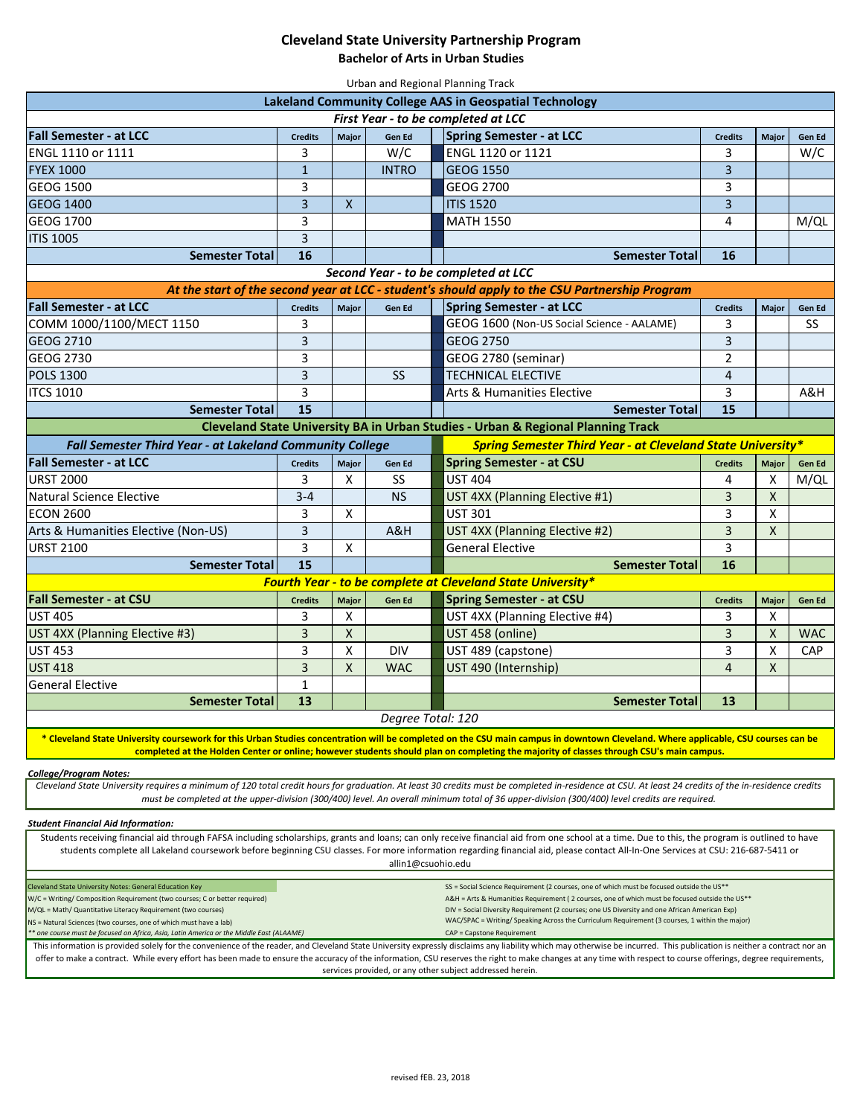## **Cleveland State University Partnership Program**

**Bachelor of Arts in Urban Studies**

| Urban and Regional Planning Track                                                                                                                                                                                                                                                                                                   |                     |              |               |                                            |                         |                   |            |
|-------------------------------------------------------------------------------------------------------------------------------------------------------------------------------------------------------------------------------------------------------------------------------------------------------------------------------------|---------------------|--------------|---------------|--------------------------------------------|-------------------------|-------------------|------------|
| <b>Lakeland Community College AAS in Geospatial Technology</b>                                                                                                                                                                                                                                                                      |                     |              |               |                                            |                         |                   |            |
| First Year - to be completed at LCC                                                                                                                                                                                                                                                                                                 |                     |              |               |                                            |                         |                   |            |
| <b>Fall Semester - at LCC</b>                                                                                                                                                                                                                                                                                                       | <b>Credits</b>      | Major        | Gen Ed        | Spring Semester - at LCC                   | <b>Credits</b>          | Major             | Gen Ed     |
| ENGL 1110 or 1111                                                                                                                                                                                                                                                                                                                   | 3                   |              | W/C           | ENGL 1120 or 1121                          | 3                       |                   | W/C        |
| <b>FYEX 1000</b>                                                                                                                                                                                                                                                                                                                    | $\mathbf{1}$        |              | <b>INTRO</b>  | <b>GEOG 1550</b>                           | 3                       |                   |            |
| GEOG 1500                                                                                                                                                                                                                                                                                                                           | 3                   |              |               | GEOG 2700                                  | 3                       |                   |            |
| <b>GEOG 1400</b>                                                                                                                                                                                                                                                                                                                    | 3                   | $\mathsf{X}$ |               | <b>ITIS 1520</b>                           | $\overline{3}$          |                   |            |
| GEOG 1700                                                                                                                                                                                                                                                                                                                           | 3                   |              |               | <b>MATH 1550</b>                           | 4                       |                   | M/QL       |
| <b>ITIS 1005</b>                                                                                                                                                                                                                                                                                                                    | 3                   |              |               |                                            |                         |                   |            |
| <b>Semester Total</b>                                                                                                                                                                                                                                                                                                               | 16                  |              |               | <b>Semester Total</b>                      | 16                      |                   |            |
| Second Year - to be completed at LCC                                                                                                                                                                                                                                                                                                |                     |              |               |                                            |                         |                   |            |
| At the start of the second year at LCC - student's should apply to the CSU Partnership Program                                                                                                                                                                                                                                      |                     |              |               |                                            |                         |                   |            |
| <b>Fall Semester - at LCC</b>                                                                                                                                                                                                                                                                                                       | <b>Credits</b>      | Major        | <b>Gen Ed</b> | Spring Semester - at LCC                   | <b>Credits</b>          | <b>Major</b>      | Gen Ed     |
| COMM 1000/1100/MECT 1150                                                                                                                                                                                                                                                                                                            | 3                   |              |               | GEOG 1600 (Non-US Social Science - AALAME) | 3                       |                   | <b>SS</b>  |
| GEOG 2710                                                                                                                                                                                                                                                                                                                           | 3                   |              |               | GEOG 2750                                  | 3                       |                   |            |
| GEOG 2730                                                                                                                                                                                                                                                                                                                           | 3                   |              |               | GEOG 2780 (seminar)                        | $\overline{2}$          |                   |            |
| <b>POLS 1300</b>                                                                                                                                                                                                                                                                                                                    | 3                   |              | <b>SS</b>     | <b>TECHNICAL ELECTIVE</b>                  | $\overline{4}$          |                   |            |
| <b>ITCS 1010</b>                                                                                                                                                                                                                                                                                                                    | 3                   |              |               | Arts & Humanities Elective                 | 3                       |                   | A&H        |
| <b>Semester Total</b>                                                                                                                                                                                                                                                                                                               | 15                  |              |               | <b>Semester Total</b>                      | 15                      |                   |            |
| Cleveland State University BA in Urban Studies - Urban & Regional Planning Track                                                                                                                                                                                                                                                    |                     |              |               |                                            |                         |                   |            |
| <b>Spring Semester Third Year - at Cleveland State University*</b><br><b>Fall Semester Third Year - at Lakeland Community College</b>                                                                                                                                                                                               |                     |              |               |                                            |                         |                   |            |
| <b>Fall Semester - at LCC</b>                                                                                                                                                                                                                                                                                                       |                     |              |               | <b>Spring Semester - at CSU</b>            |                         |                   |            |
| <b>URST 2000</b>                                                                                                                                                                                                                                                                                                                    | <b>Credits</b><br>3 | Major<br>X   | Gen Ed<br>SS  | <b>UST 404</b>                             | <b>Credits</b><br>4     | <b>Major</b><br>X | Gen Ed     |
| <b>Natural Science Elective</b>                                                                                                                                                                                                                                                                                                     | $3 - 4$             |              |               |                                            | 3                       | $\pmb{\times}$    | M/QL       |
|                                                                                                                                                                                                                                                                                                                                     |                     |              | <b>NS</b>     | UST 4XX (Planning Elective #1)             |                         |                   |            |
| <b>ECON 2600</b>                                                                                                                                                                                                                                                                                                                    | 3                   | X            |               | <b>UST 301</b>                             | 3                       | X                 |            |
| Arts & Humanities Elective (Non-US)                                                                                                                                                                                                                                                                                                 | 3                   |              | A&H           | UST 4XX (Planning Elective #2)             | $\overline{\mathbf{3}}$ | $\mathsf{x}$      |            |
| <b>URST 2100</b>                                                                                                                                                                                                                                                                                                                    | 3                   | X            |               | <b>General Elective</b>                    | 3                       |                   |            |
| 15<br>16<br><b>Semester Total</b><br><b>Semester Total</b><br>Fourth Year - to be complete at Cleveland State University*                                                                                                                                                                                                           |                     |              |               |                                            |                         |                   |            |
|                                                                                                                                                                                                                                                                                                                                     |                     |              |               |                                            |                         |                   |            |
| <b>Fall Semester - at CSU</b>                                                                                                                                                                                                                                                                                                       | <b>Credits</b>      | Major        | Gen Ed        | <b>Spring Semester - at CSU</b>            | <b>Credits</b>          | <b>Major</b>      | Gen Ed     |
| <b>UST 405</b>                                                                                                                                                                                                                                                                                                                      | 3                   | X            |               | UST 4XX (Planning Elective #4)             | 3                       | X                 |            |
| UST 4XX (Planning Elective #3)                                                                                                                                                                                                                                                                                                      | 3                   | X            |               | UST 458 (online)                           | 3                       | $\mathsf{X}$      | <b>WAC</b> |
| <b>UST 453</b>                                                                                                                                                                                                                                                                                                                      | 3                   | X            | <b>DIV</b>    | UST 489 (capstone)                         | 3                       | X                 | <b>CAP</b> |
| <b>UST 418</b>                                                                                                                                                                                                                                                                                                                      | 3                   | $\mathsf{X}$ | <b>WAC</b>    | UST 490 (Internship)                       | 4                       | X                 |            |
| <b>General Elective</b>                                                                                                                                                                                                                                                                                                             | 1                   |              |               |                                            |                         |                   |            |
| <b>Semester Totall</b>                                                                                                                                                                                                                                                                                                              | 13                  |              |               | <b>Semester Total</b>                      | 13                      |                   |            |
| Degree Total: 120                                                                                                                                                                                                                                                                                                                   |                     |              |               |                                            |                         |                   |            |
| * Cleveland State University coursework for this Urban Studies concentration will be completed on the CSU main campus in downtown Cleveland. Where applicable, CSU courses can be<br>completed at the Holden Center or online; however students should plan on completing the majority of classes through CSU's main campus.        |                     |              |               |                                            |                         |                   |            |
| <b>College/Program Notes:</b>                                                                                                                                                                                                                                                                                                       |                     |              |               |                                            |                         |                   |            |
| Cleveland State University requires a minimum of 120 total credit hours for graduation. At least 30 credits must be completed in-residence at CSU. At least 24 credits of the in-residence credits                                                                                                                                  |                     |              |               |                                            |                         |                   |            |
| must be completed at the upper-division (300/400) level. An overall minimum total of 36 upper-division (300/400) level credits are required.                                                                                                                                                                                        |                     |              |               |                                            |                         |                   |            |
| <b>Student Financial Aid Information:</b>                                                                                                                                                                                                                                                                                           |                     |              |               |                                            |                         |                   |            |
| Students receiving financial aid through FAFSA including scholarships, grants and loans; can only receive financial aid from one school at a time. Due to this, the program is outlined to have                                                                                                                                     |                     |              |               |                                            |                         |                   |            |
| students complete all Lakeland coursework before beginning CSU classes. For more information regarding financial aid, please contact All-In-One Services at CSU: 216-687-5411 or<br>allin1@csuohio.edu                                                                                                                              |                     |              |               |                                            |                         |                   |            |
|                                                                                                                                                                                                                                                                                                                                     |                     |              |               |                                            |                         |                   |            |
| SS = Social Science Requirement (2 courses, one of which must be focused outside the US**<br>Cleveland State University Notes: General Education Key<br>A&H = Arts & Humanities Requirement (2 courses, one of which must be focused outside the US**<br>W/C = Writing/ Composition Requirement (two courses; C or better required) |                     |              |               |                                            |                         |                   |            |
| DIV = Social Diversity Requirement (2 courses; one US Diversity and one African American Exp)<br>M/QL = Math/ Quantitative Literacy Requirement (two courses)                                                                                                                                                                       |                     |              |               |                                            |                         |                   |            |
| WAC/SPAC = Writing/ Speaking Across the Curriculum Requirement (3 courses, 1 within the major)<br>NS = Natural Sciences (two courses, one of which must have a lab)<br>* one course must be focused on Africa, Asia, Latin America or the Middle East (ALAAME)<br>CAP = Capstone Requirement                                        |                     |              |               |                                            |                         |                   |            |
| This information is provided solely for the convenience of the reader, and Cleveland State University expressly disclaims any liability which may otherwise be incurred. This publication is neither a contract nor an                                                                                                              |                     |              |               |                                            |                         |                   |            |
| offer to make a contract. While every effort has been made to ensure the accuracy of the information, CSU reserves the right to make changes at any time with respect to course offerings, degree requirements,<br>services provided, or any other subject addressed herein.                                                        |                     |              |               |                                            |                         |                   |            |
|                                                                                                                                                                                                                                                                                                                                     |                     |              |               |                                            |                         |                   |            |